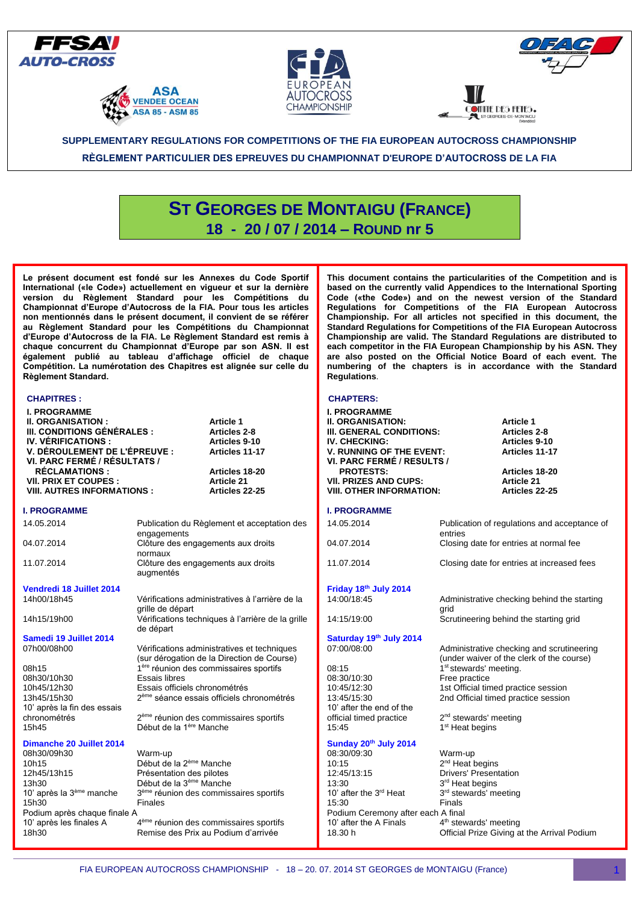







**MITE DES FETES.** 

## **SUPPLEMENTARY REGULATIONS FOR COMPETITIONS OF THE FIA EUROPEAN AUTOCROSS CHAMPIONSHIP**

**RÈGLEMENT PARTICULIER DES EPREUVES DU CHAMPIONNAT D'EUROPE D'AUTOCROSS DE LA FIA**

# **ST GEORGES DE MONTAIGU (FRANCE) 18 - 20 / 07 / 2014 – ROUND nr 5**

**Le présent document est fondé sur les Annexes du Code Sportif International («le Code») actuellement en vigueur et sur la dernière version du Règlement Standard pour les Compétitions du Championnat d'Europe d'Autocross de la FIA. Pour tous les articles non mentionnés dans le présent document, il convient de se référer au Règlement Standard pour les Compétitions du Championnat d'Europe d'Autocross de la FIA. Le Règlement Standard est remis à chaque concurrent du Championnat d'Europe par son ASN. Il est également publié au tableau d'affichage officiel de chaque Compétition. La numérotation des Chapitres est alignée sur celle du Règlement Standard.**

#### **CHAPITRES :**

#### **I. PROGRAMME Il. ORGANISATION : Article 1 Ill. CONDITIONS GÉNÉRALES : Articles 2-8 IV. VÉRIFICATIONS : Articles 9-10 V. DÉROULEMENT DE L'ÉPREUVE : Articles 11-17 VI. PARC FERMÉ / RÉSULTATS / RÉCLAMATIONS : Articles 18-20 Vll. PRIX ET COUPES : Article 21 VIII. AUTRES INFORMATIONS : I. PROGRAMME**  14.05.2014 Publication du Règlement et acceptation des engagements 04.07.2014 Clôture des engagements aux droits normaux 11.07.2014 Clôture des engagements aux droits augmentés **Vendredi 18 Juillet 2014** 14h00/18h45 Vérifications administratives à l'arrière de la grille de départ 14h15/19h00 Vérifications techniques à l'arrière de la grille de départ **Samedi 19 Juillet 2014**<br>07h00/08h00 Vérifications administratives et techniques (sur dérogation de la Direction de Course) 08h15 1 lère réunion des commissaires sportifs 08h30/10h30<br>10h45/12h30 10h45/12h30 Essais officiels chronométrés 13h45/15h30 2 ème séance essais officiels chronométrés 10' après la fin des essais chronométrés<br>15b45 2<sup>ème</sup> réunion des commissaires sportifs Début de la 1<sup>ère</sup> Manche **Dimanche 20 Juillet 2014** 08h30/09h30 Warm-up 10h15 Début de la 2<sup>ème</sup> Manche<br>12h45/13h15 Présentation des pilotes 12h45/13h15 Présentation des pilotes<br>13h30 Début de la 3<sup>ème</sup> Manche Début de la 3<sup>ème</sup> Manche 10' après la 3<sup>ème</sup> manche<br>15h30 3<sup>ème</sup> réunion des commissaires sportifs Finales Podium après chaque finale A 10' après les finales A 10' after the A Finals

ème réunion des commissaires sportifs 18h30 Remise des Prix au Podium d'arrivée

**This document contains the particularities of the Competition and is based on the currently valid Appendices to the International Sporting Code («the Code») and on the newest version of the Standard Regulations for Competitions of the FIA European Autocross Championship. For all articles not specified in this document, the Standard Regulations for Competitions of the FIA European Autocross Championship are valid. The Standard Regulations are distributed to each competitor in the FIA European Championship by his ASN. They are also posted on the Official Notice Board of each event. The numbering of the chapters is in accordance with the Standard Regulations**.

## **CHAPTERS:**

| UMAP I ERS:<br>I. PROGRAMME<br><b>II. ORGANISATION:</b><br>III. GENERAL CONDITIONS:<br><b>IV. CHECKING:</b><br><b>V. RUNNING OF THE EVENT:</b><br>VI. PARC FERMÉ / RESULTS /<br><b>PROTESTS:</b><br><b>VII. PRIZES AND CUPS:</b><br><b>VIII. OTHER INFORMATION:</b> | <b>Article 1</b><br>Articles 2-8<br>Articles 9-10<br>Articles 11-17<br>Articles 18-20<br><b>Article 21</b><br>Articles 22-25 |
|---------------------------------------------------------------------------------------------------------------------------------------------------------------------------------------------------------------------------------------------------------------------|------------------------------------------------------------------------------------------------------------------------------|
| I. PROGRAMME                                                                                                                                                                                                                                                        |                                                                                                                              |
| 14.05.2014                                                                                                                                                                                                                                                          | Publication of regulations and acceptance of<br>entries                                                                      |
| 04.07.2014                                                                                                                                                                                                                                                          | Closing date for entries at normal fee                                                                                       |
| 11.07.2014                                                                                                                                                                                                                                                          | Closing date for entries at increased fees                                                                                   |
| Friday 18th July 2014                                                                                                                                                                                                                                               |                                                                                                                              |
| 14:00/18:45                                                                                                                                                                                                                                                         | Administrative checking behind the starting<br>grid                                                                          |
| 14:15/19:00                                                                                                                                                                                                                                                         | Scrutineering behind the starting grid                                                                                       |
| Saturday 19th July 2014                                                                                                                                                                                                                                             |                                                                                                                              |
| 07:00/08:00                                                                                                                                                                                                                                                         | Administrative checking and scrutineering<br>(under waiver of the clerk of the course)                                       |
| 08:15                                                                                                                                                                                                                                                               | 1 <sup>st</sup> stewards' meeting.                                                                                           |
| 08:30/10:30<br>10:45/12:30                                                                                                                                                                                                                                          | Free practice<br>1st Official timed practice session                                                                         |
| 13:45/15:30                                                                                                                                                                                                                                                         | 2nd Official timed practice session                                                                                          |
| 10' after the end of the                                                                                                                                                                                                                                            |                                                                                                                              |
| official timed practice                                                                                                                                                                                                                                             | $2nd$ stewards' meeting                                                                                                      |
| 15:45                                                                                                                                                                                                                                                               | 1 <sup>st</sup> Heat begins                                                                                                  |
| Sunday 20 <sup>th</sup> July 2014                                                                                                                                                                                                                                   |                                                                                                                              |
| 08:30/09:30                                                                                                                                                                                                                                                         | Warm-up                                                                                                                      |
| 10:15                                                                                                                                                                                                                                                               | 2 <sup>nd</sup> Heat begins                                                                                                  |
| 12:45/13:15<br>13:30                                                                                                                                                                                                                                                | <b>Drivers' Presentation</b><br>3 <sup>rd</sup> Heat begins                                                                  |
| 10' after the 3 <sup>rd</sup> Heat                                                                                                                                                                                                                                  | 3 <sup>rd</sup> stewards' meeting                                                                                            |
| 15:30                                                                                                                                                                                                                                                               | Finals                                                                                                                       |
| Podium Ceremony after each A final                                                                                                                                                                                                                                  |                                                                                                                              |

4<sup>th</sup> stewards' meeting 18.30 h Official Prize Giving at the Arrival Podium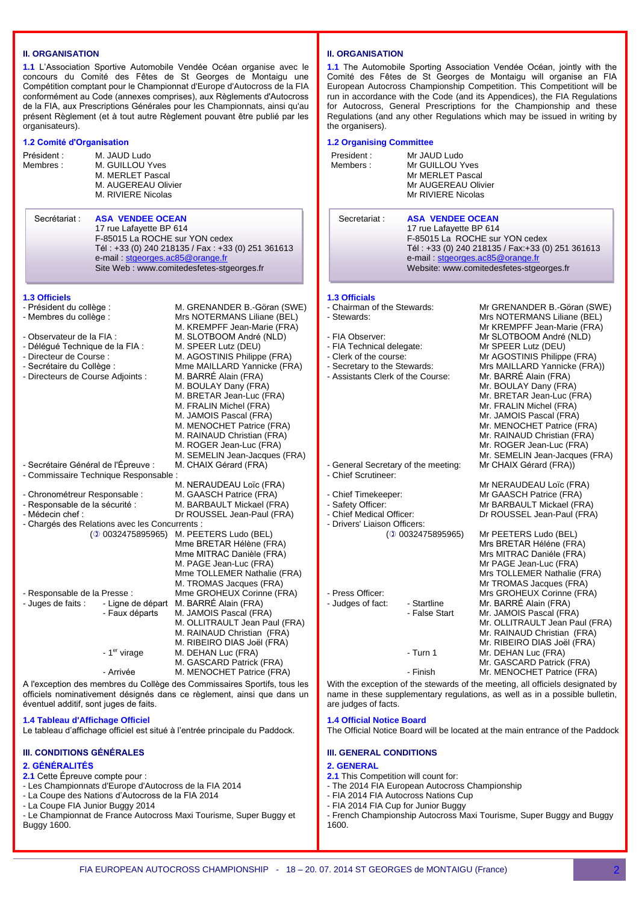## **II. ORGANISATION**

**1.1** L'Association Sportive Automobile Vendée Océan organise avec le concours du Comité des Fêtes de St Georges de Montaigu une Compétition comptant pour le Championnat d'Europe d'Autocross de la FIA conformément au Code (annexes comprises), aux Règlements d'Autocross de la FIA, aux Prescriptions Générales pour les Championnats, ainsi qu'au présent Règlement (et à tout autre Règlement pouvant être publié par les organisateurs).

## **1.2 Comité d'Organisation**

| Président :<br>Membres:                                                                                                                                                                                                                 | M. JAUD Ludo<br>M. GUILLOU Yves<br>M. MERLET Pascal<br>M. AUGEREAU Olivier<br>M. RIVIERE Nicolas                                                                                                                          | President:<br>Members:                                                                                                                                                                                                                                                                |                                                                                                                                            |
|-----------------------------------------------------------------------------------------------------------------------------------------------------------------------------------------------------------------------------------------|---------------------------------------------------------------------------------------------------------------------------------------------------------------------------------------------------------------------------|---------------------------------------------------------------------------------------------------------------------------------------------------------------------------------------------------------------------------------------------------------------------------------------|--------------------------------------------------------------------------------------------------------------------------------------------|
| Secrétariat :                                                                                                                                                                                                                           | <b>ASA VENDEE OCEAN</b><br>17 rue Lafayette BP 614<br>F-85015 La ROCHE sur YON cedex<br>Tél: +33 (0) 240 218135 / Fax: +33 (0) 251 361613<br>e-mail stgeorges.ac85@orange.fr<br>Site Web: www.comitedesfetes-stgeorges.fr |                                                                                                                                                                                                                                                                                       | Secretaria                                                                                                                                 |
|                                                                                                                                                                                                                                         |                                                                                                                                                                                                                           |                                                                                                                                                                                                                                                                                       |                                                                                                                                            |
| <b>1.3 Officiels</b><br>- Président du collège :<br>- Membres du collège :<br>- Observateur de la FIA :<br>- Délégué Technique de la FIA :<br>- Directeur de Course :<br>- Secrétaire du Collège :<br>- Directeurs de Course Adjoints : |                                                                                                                                                                                                                           | M. GRENANDER B.-Göran (SWE)<br>Mrs NOTERMANS Liliane (BEL)<br>M. KREMPFF Jean-Marie (FRA)<br>M. SLOTBOOM André (NLD)<br>M. SPEER Lutz (DEU)<br>M. AGOSTINIS Philippe (FRA)<br>Mme MAILLARD Yannicke (FRA)<br>M. BARRÉ Alain (FRA)<br>M. BOULAY Dany (FRA)<br>M. BRETAR Jean-Luc (FRA) | <b>1.3 Officials</b><br>- Chairman c<br>- Stewards:<br>- FIA Observ<br>- FIA Technio<br>- Clerk of the<br>- Secretary to<br>- Assistants ( |
|                                                                                                                                                                                                                                         | - Secrétaire Général de l'Épreuve :<br>- Commissaire Technique Responsable :                                                                                                                                              | M. FRALIN Michel (FRA)<br>M. JAMOIS Pascal (FRA)<br>M. MENOCHET Patrice (FRA)<br>M. RAINAUD Christian (FRA)<br>M. ROGER Jean-Luc (FRA)<br>M. SEMELIN Jean-Jacques (FRA)<br>M. CHAIX Gérard (FRA)                                                                                      | - General Se<br>- Chief Scrut                                                                                                              |
| - Chronométreur Responsable :<br>- Responsable de la sécurité :<br>- Médecin chef :                                                                                                                                                     | - Chargés des Relations avec les Concurrents :<br>(20032475895965)                                                                                                                                                        | M. NERAUDEAU Loïc (FRA)<br>M. GAASCH Patrice (FRA)<br>M. BARBAULT Mickael (FRA)<br>Dr ROUSSEL Jean-Paul (FRA)<br>M. PEETERS Ludo (BEL)<br>Mme BRETAR Hélène (FRA)<br>Mme MITRAC Danièle (FRA)<br>M. PAGE Jean-Luc (FRA)                                                               | - Chief Timel<br>- Safety Offic<br>- Chief Medio<br>- Drivers' Lia                                                                         |
| - Responsable de la Presse :<br>- Juges de faits :                                                                                                                                                                                      | - Ligne de départ<br>- Faux départs<br>- 1 <sup>er</sup> virage                                                                                                                                                           | Mme TOLLEMER Nathalie (FRA)<br>M. TROMAS Jacques (FRA)<br>Mme GROHEUX Corinne (FRA)<br>M. BARRÉ Alain (FRA)<br>M. JAMOIS Pascal (FRA)<br>M. OLLITRAULT Jean Paul (FRA)<br>M. RAINAUD Christian (FRA)<br>M. RIBEIRO DIAS Joël (FRA)<br>M. DEHAN Luc (FRA)<br>M. GASCARD Patrick (FRA)  | - Press Offic<br>- Judges of fa                                                                                                            |
|                                                                                                                                                                                                                                         | - Arrivée                                                                                                                                                                                                                 | M. MENOCHET Patrice (FRA)                                                                                                                                                                                                                                                             |                                                                                                                                            |

A l'exception des membres du Collège des Commissaires Sportifs, tous les officiels nominativement désignés dans ce règlement, ainsi que dans un éventuel additif, sont juges de faits.

## **1.4 Tableau d'Affichage Officiel**

Le tableau d'affichage officiel est situé à l'entrée principale du Paddock.

## **III. CONDITIONS GÉNÉRALES**

#### **2. GÉNÉRALITÉS**

**2.1** Cette Épreuve compte pour :

- Les Championnats d'Europe d'Autocross de la FIA 2014
- La Coupe des Nations d'Autocross de la FIA 2014
- La Coupe FIA Junior Buggy 2014
- Le Championnat de France Autocross Maxi Tourisme, Super Buggy et Buggy 1600.

## **II. ORGANISATION**

**1.1** The Automobile Sporting Association Vendée Océan, jointly with the Comité des Fêtes de St Georges de Montaigu will organise an FIA European Autocross Championship Competition. This Competitiont will be run in accordance with the Code (and its Appendices), the FIA Regulations for Autocross, General Prescriptions for the Championship and these Regulations (and any other Regulations which may be issued in writing by the organisers).

#### **1.2 Organising Committee** Mr JAUD Ludo Mr GUILLOU Yves Mr MERLET Pascal Mr AUGEREAU Olivier Mr RIVIERE Nicolas at : **ASA VENDEE OCEAN** 17 rue Lafayette BP 614 F-85015 La ROCHE sur YON cedex Tél : +33 (0) 240 218135 / Fax:+33 (0) 251 361613 e-mail [stgeorges.ac85@orange.fr](mailto:stgeorges.ac85@orange.fr) Website: www.comitedesfetes-stgeorges.fr of the Stewards: Mr GRENANDER B.-Göran (SWE) Mrs NOTERMANS Liliane (BEL) Mr KREMPFF Jean-Marie (FRA) - FIA Observer: Mr SLOTBOOM André (NLD) Mr SPEER Lutz (DEU) course: Mr AGOSTINIS Philippe (FRA) o the Stewards: Mrs MAILLARD Yannicke (FRA)) Clerk of the Course: Mr. BARRÉ Alain (FRA) Mr. BOULAY Dany (FRA) Mr. BRETAR Jean-Luc (FRA) Mr. FRALIN Michel (FRA) Mr. JAMOIS Pascal (FRA) Mr. MENOCHET Patrice (FRA) Mr. RAINAUD Christian (FRA) Mr. ROGER Jean-Luc (FRA) Mr. SEMELIN Jean-Jacques (FRA) ecretary of the meeting: Mr CHAIX Gérard (FRA)) ineer: Mr NERAUDEAU Loïc (FRA) keeper: Mr GAASCH Patrice (FRA) - Safety Officer: Mr BARBAULT Mickael (FRA) Dr ROUSSEL Jean-Paul (FRA) ison Officers:<br>(1 0032475895965) Mr PEETERS Ludo (BEL) Mrs BRETAR Héléne (FRA) Mrs MITRAC Daniéle (FRA) Mr PAGE Jean-Luc (FRA) Mrs TOLLEMER Nathalie (FRA) Mr TROMAS Jacques (FRA) - Press Officer: Mrs GROHEUX Corinne (FRA) act: - Startline Mr. BARRÉ Alain (FRA) - False Start Mr. JAMOIS Pascal (FRA) Mr. OLLITRAULT Jean Paul (FRA) Mr. RAINAUD Christian (FRA) Mr. RIBEIRO DIAS Joël (FRA) - Turn 1 Mr. DEHAN Luc (FRA) Mr. GASCARD Patrick (FRA)

- Finish Mr. MENOCHET Patrice (FRA)

With the exception of the stewards of the meeting, all officiels designated by name in these supplementary regulations, as well as in a possible bulletin, are judges of facts.

#### **1.4 Official Notice Board**

The Official Notice Board will be located at the main entrance of the Paddock

**III. GENERAL CONDITIONS 2. GENERAL**

- **2.1** This Competition will count for:
- The 2014 FIA European Autocross Championship
- FIA 2014 FIA Autocross Nations Cup
- FIA 2014 FIA Cup for Junior Buggy
- French Championship Autocross Maxi Tourisme, Super Buggy and Buggy 1600.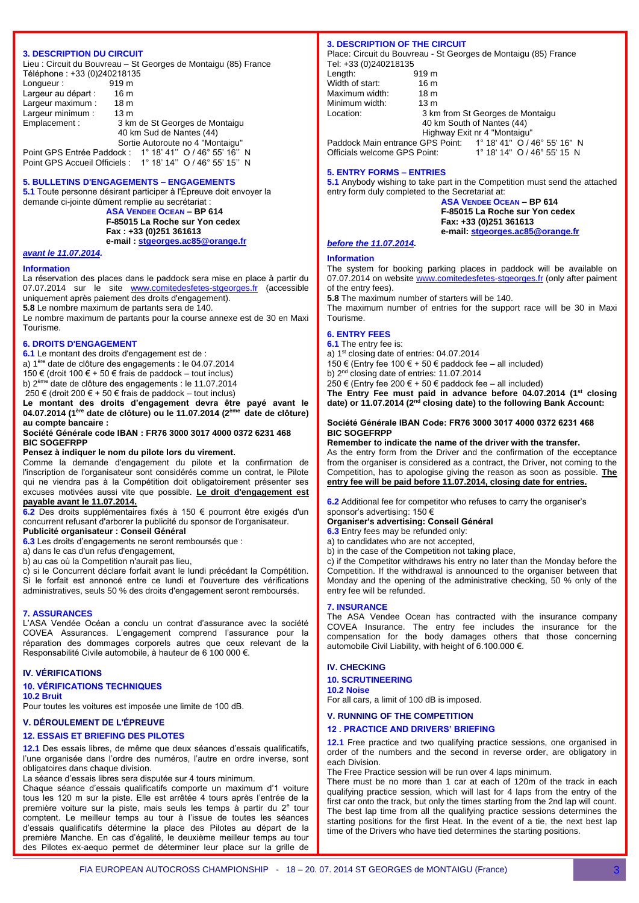### **3. DESCRIPTION DU CIRCUIT**

Lieu : Circuit du Bouvreau – St Georges de Montaigu (85) France Téléphone : +33 (0)240218135

| Longueur:           | 919 m                                                      |
|---------------------|------------------------------------------------------------|
| Largeur au départ : | 16 <sub>m</sub>                                            |
| Largeur maximum :   | 18 <sub>m</sub>                                            |
| Largeur minimum :   | 13 <sub>m</sub>                                            |
| Emplacement:        | 3 km de St Georges de Montaigu                             |
|                     | 40 km Sud de Nantes (44)                                   |
|                     | Sortie Autoroute no 4 "Montaigu"                           |
|                     | Point GPS Entrée Paddock : 1° 18' 41" O / 46° 55' 16" N    |
|                     | Point GPS Accueil Officiels : 1° 18' 14" O / 46° 55' 15" N |

#### **5. BULLETINS D'ENGAGEMENTS – ENGAGEMENTS**

**5.1** Toute personne désirant participer à l'Épreuve doit envoyer la demande ci-jointe dûment remplie au secrétariat :

**ASA VENDEE OCEAN – BP 614 F-85015 La Roche sur Yon cedex Fax : +33 (0)251 361613 e-mail : [stgeorges.ac85@orange.fr](mailto:stgeorges.ac85@orange.fr)**

## *avant le 11.07.2014.*

#### **Information**

La réservation des places dans le paddock sera mise en place à partir du 07.07.2014 sur le site [www.comitedesfetes-stgeorges.fr](http://www.comitedesfetes-stgeorges.fr/) (accessible uniquement après paiement des droits d'engagement).

**5.8** Le nombre maximum de partants sera de 140.

Le nombre maximum de partants pour la course annexe est de 30 en Maxi Tourisme.

#### **6. DROITS D'ENGAGEMENT**

**6.1** Le montant des droits d'engagement est de :

a) 1ère date de clôture des engagements : le 04.07.2014

150 € (droit 100 € + 50 € frais de paddock – tout inclus)

b) 2<sup>ème</sup> date de clôture des engagements : le 11.07.2014

250 € (droit 200 € + 50 € frais de paddock – tout inclus)

**Le montant des droits d'engagement devra être payé avant le 04.07.2014 (1ère date de clôture) ou le 11.07.2014 (2ème date de clôture) au compte bancaire :**

#### **Société Générale code IBAN : FR76 3000 3017 4000 0372 6231 468 BIC SOGEFRPP**

#### **Pensez à indiquer le nom du pilote lors du virement.**

Comme la demande d'engagement du pilote et la confirmation de l'inscription de l'organisateur sont considérés comme un contrat, le Pilote qui ne viendra pas à la Compétition doit obligatoirement présenter ses excuses motivées aussi vite que possible. **Le droit d'engagement est** 

**payable avant le 11.07.2014.**

**6.2** Des droits supplémentaires fixés à 150 € pourront être exigés d'un concurrent refusant d'arborer la publicité du sponsor de l'organisateur.

## **Publicité organisateur : Conseil Général**

**6.3** Les droits d'engagements ne seront remboursés que : a) dans le cas d'un refus d'engagement,

b) au cas où la Competition n'aurait pas lieu,

c) si le Concurrent déclare forfait avant le lundi précédant la Compétition. Si le forfait est annoncé entre ce lundi et l'ouverture des vérifications administratives, seuls 50 % des droits d'engagement seront remboursés.

#### **7. ASSURANCES**

L'ASA Vendée Océan a conclu un contrat d'assurance avec la société COVEA Assurances. L'engagement comprend l'assurance pour la réparation des dommages corporels autres que ceux relevant de la Responsabilité Civile automobile, à hauteur de 6 100 000 €.

#### **IV. VÉRIFICATIONS**

#### **10. VÉRIFICATIONS TECHNIQUES**

**10.2 Bruit**

Pour toutes les voitures est imposée une limite de 100 dB.

## **V. DÉROULEMENT DE L'ÉPREUVE**

## **12. ESSAIS ET BRIEFING DES PILOTES**

**12.1** Des essais libres, de même que deux séances d'essais qualificatifs, l'une organisée dans l'ordre des numéros, l'autre en ordre inverse, sont obligatoires dans chaque division.

La séance d'essais libres sera disputée sur 4 tours minimum.

Chaque séance d'essais qualificatifs comporte un maximum d'1 voiture tous les 120 m sur la piste. Elle est arrêtée 4 tours après l'entrée de la première voiture sur la piste, mais seuls les temps à partir du 2<sup>e</sup> tour comptent. Le meilleur temps au tour à l'issue de toutes les séances d'essais qualificatifs détermine la place des Pilotes au départ de la première Manche. En cas d'égalité, le deuxième meilleur temps au tour des Pilotes ex-aequo permet de déterminer leur place sur la grille de

#### **3. DESCRIPTION OF THE CIRCUIT**

Place: Circuit du Bouvreau - St Georges de Montaigu (85) France Tel: +33 (0)240218135

| Length:                      | 919 <sub>m</sub> |                                                               |
|------------------------------|------------------|---------------------------------------------------------------|
| Width of start:              | 16 m             |                                                               |
| Maximum width:               | 18 <sub>m</sub>  |                                                               |
| Minimum width:               | 13 <sub>m</sub>  |                                                               |
| Location:                    |                  | 3 km from St Georges de Montaigu                              |
|                              |                  | 40 km South of Nantes (44)                                    |
|                              |                  | Highway Exit nr 4 "Montaigu"                                  |
|                              |                  | Paddock Main entrance GPS Point: 1° 18' 41" O / 46° 55' 16" N |
| Officials welcome GPS Point: |                  | 1° 18' 14" O / 46° 55' 15 N                                   |

#### **5. ENTRY FORMS – ENTRIES**

**5.1** Anybody wishing to take part in the Competition must send the attached entry form duly completed to the Secretariat at:

**ASA VENDEE OCEAN – BP 614 F-85015 La Roche sur Yon cedex Fax: +33 (0)251 361613 e-mail: [stgeorges.ac85@orange.fr](mailto:stgeorges.ac85@orange.fr)**

## *before the 11.07.2014.*

## **Information**

The system for booking parking places in paddock will be available on 07.07.2014 on website [www.comitedesfetes-stgeorges.fr](http://www.comitedesfetes-stgeorges.fr/) (only after paiment of the entry fees).

**5.8** The maximum number of starters will be 140.

The maximum number of entries for the support race will be 30 in Maxi Tourisme.

## **6. ENTRY FEES**

**6.1** The entry fee is:

a) 1<sup>st</sup> closing date of entries: 04.07.2014

150 € (Entry fee 100 € + 50 € paddock fee – all included)

b)  $2<sup>nd</sup>$  closing date of entries: 11.07.2014

250 € (Entry fee 200 € + 50 € paddock fee – all included)

**The Entry Fee must paid in advance before 04.07.2014 (1st closing date) or 11.07.2014 (2nd closing date) to the following Bank Account:**

#### **Société Générale IBAN Code: FR76 3000 3017 4000 0372 6231 468 BIC SOGEFRPP**

#### **Remember to indicate the name of the driver with the transfer.**

As the entry form from the Driver and the confirmation of the ecceptance from the organiser is considered as a contract, the Driver, not coming to the Competition, has to apologise giving the reason as soon as possible. **The entry fee will be paid before 11.07.2014, closing date for entries.**

**6.2** Additional fee for competitor who refuses to carry the organiser's sponsor's advertising: 150 €

### **Organiser's advertising: Conseil Général**

**6.3** Entry fees may be refunded only:

a) to candidates who are not accepted,

b) in the case of the Competition not taking place.

c) if the Competitor withdraws his entry no later than the Monday before the Competition. If the withdrawal is announced to the organiser between that Monday and the opening of the administrative checking, 50 % only of the entry fee will be refunded.

#### **7. INSURANCE**

The ASA Vendee Ocean has contracted with the insurance company COVEA Insurance. The entry fee includes the insurance for the compensation for the body damages others that those concerning automobile Civil Liability, with height of 6.100.000 €.

#### **IV. CHECKING**

#### **10. SCRUTINEERING 10.2 Noise**

For all cars, a limit of 100 dB is imposed.

## **V. RUNNING OF THE COMPETITION**

#### **12 . PRACTICE AND DRIVERS' BRIEFING**

**12.1** Free practice and two qualifying practice sessions, one organised in order of the numbers and the second in reverse order, are obligatory in each Division.

The Free Practice session will be run over 4 laps minimum.

There must be no more than 1 car at each of 120m of the track in each qualifying practice session, which will last for 4 laps from the entry of the first car onto the track, but only the times starting from the 2nd lap will count. The best lap time from all the qualifying practice sessions determines the starting positions for the first Heat. In the event of a tie, the next best lap time of the Drivers who have tied determines the starting positions.